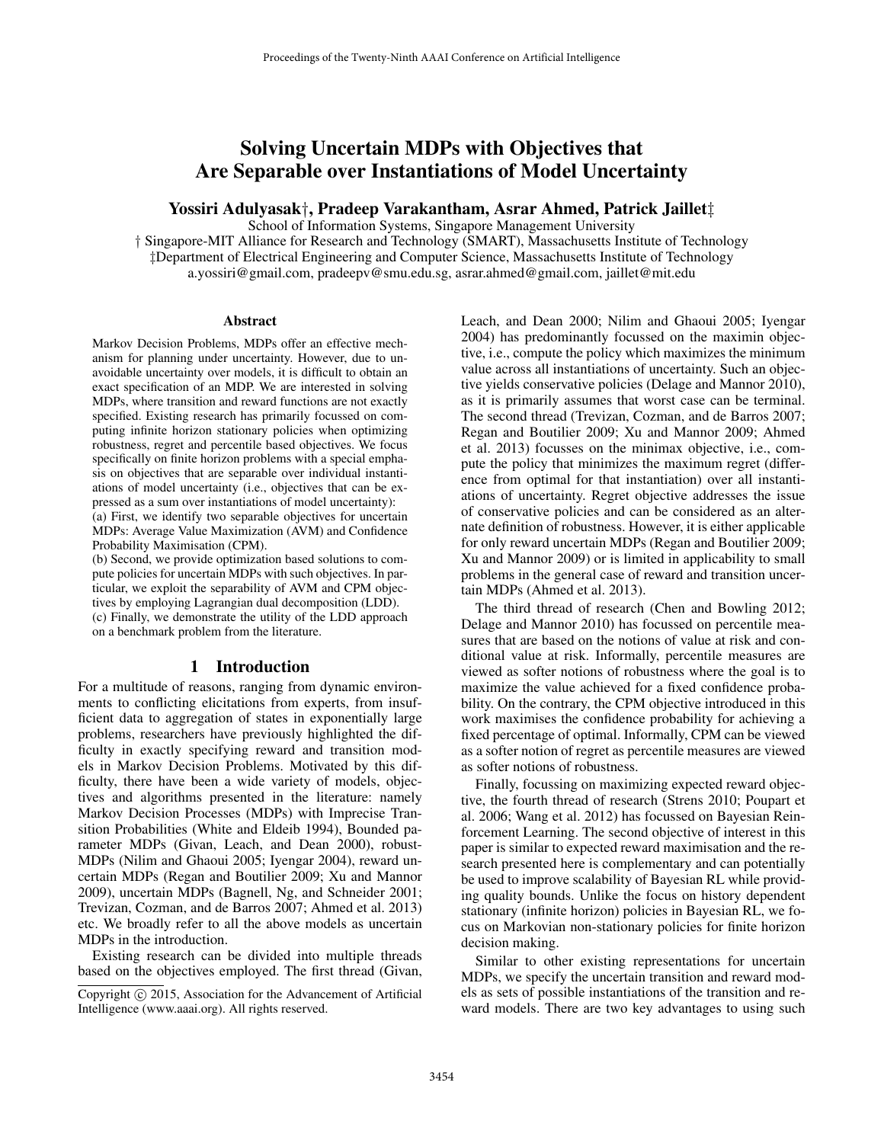# Solving Uncertain MDPs with Objectives that Are Separable over Instantiations of Model Uncertainty

#### Yossiri Adulyasak†, Pradeep Varakantham, Asrar Ahmed, Patrick Jaillet‡

School of Information Systems, Singapore Management University † Singapore-MIT Alliance for Research and Technology (SMART), Massachusetts Institute of Technology ‡Department of Electrical Engineering and Computer Science, Massachusetts Institute of Technology a.yossiri@gmail.com, pradeepv@smu.edu.sg, asrar.ahmed@gmail.com, jaillet@mit.edu

#### Abstract

Markov Decision Problems, MDPs offer an effective mechanism for planning under uncertainty. However, due to unavoidable uncertainty over models, it is difficult to obtain an exact specification of an MDP. We are interested in solving MDPs, where transition and reward functions are not exactly specified. Existing research has primarily focussed on computing infinite horizon stationary policies when optimizing robustness, regret and percentile based objectives. We focus specifically on finite horizon problems with a special emphasis on objectives that are separable over individual instantiations of model uncertainty (i.e., objectives that can be expressed as a sum over instantiations of model uncertainty): (a) First, we identify two separable objectives for uncertain MDPs: Average Value Maximization (AVM) and Confidence Probability Maximisation (CPM).

(b) Second, we provide optimization based solutions to compute policies for uncertain MDPs with such objectives. In particular, we exploit the separability of AVM and CPM objectives by employing Lagrangian dual decomposition (LDD). (c) Finally, we demonstrate the utility of the LDD approach on a benchmark problem from the literature.

### 1 Introduction

For a multitude of reasons, ranging from dynamic environments to conflicting elicitations from experts, from insufficient data to aggregation of states in exponentially large problems, researchers have previously highlighted the difficulty in exactly specifying reward and transition models in Markov Decision Problems. Motivated by this difficulty, there have been a wide variety of models, objectives and algorithms presented in the literature: namely Markov Decision Processes (MDPs) with Imprecise Transition Probabilities (White and Eldeib 1994), Bounded parameter MDPs (Givan, Leach, and Dean 2000), robust-MDPs (Nilim and Ghaoui 2005; Iyengar 2004), reward uncertain MDPs (Regan and Boutilier 2009; Xu and Mannor 2009), uncertain MDPs (Bagnell, Ng, and Schneider 2001; Trevizan, Cozman, and de Barros 2007; Ahmed et al. 2013) etc. We broadly refer to all the above models as uncertain MDPs in the introduction.

Existing research can be divided into multiple threads based on the objectives employed. The first thread (Givan, Leach, and Dean 2000; Nilim and Ghaoui 2005; Iyengar 2004) has predominantly focussed on the maximin objective, i.e., compute the policy which maximizes the minimum value across all instantiations of uncertainty. Such an objective yields conservative policies (Delage and Mannor 2010), as it is primarily assumes that worst case can be terminal. The second thread (Trevizan, Cozman, and de Barros 2007; Regan and Boutilier 2009; Xu and Mannor 2009; Ahmed et al. 2013) focusses on the minimax objective, i.e., compute the policy that minimizes the maximum regret (difference from optimal for that instantiation) over all instantiations of uncertainty. Regret objective addresses the issue of conservative policies and can be considered as an alternate definition of robustness. However, it is either applicable for only reward uncertain MDPs (Regan and Boutilier 2009; Xu and Mannor 2009) or is limited in applicability to small problems in the general case of reward and transition uncertain MDPs (Ahmed et al. 2013).

The third thread of research (Chen and Bowling 2012; Delage and Mannor 2010) has focussed on percentile measures that are based on the notions of value at risk and conditional value at risk. Informally, percentile measures are viewed as softer notions of robustness where the goal is to maximize the value achieved for a fixed confidence probability. On the contrary, the CPM objective introduced in this work maximises the confidence probability for achieving a fixed percentage of optimal. Informally, CPM can be viewed as a softer notion of regret as percentile measures are viewed as softer notions of robustness.

Finally, focussing on maximizing expected reward objective, the fourth thread of research (Strens 2010; Poupart et al. 2006; Wang et al. 2012) has focussed on Bayesian Reinforcement Learning. The second objective of interest in this paper is similar to expected reward maximisation and the research presented here is complementary and can potentially be used to improve scalability of Bayesian RL while providing quality bounds. Unlike the focus on history dependent stationary (infinite horizon) policies in Bayesian RL, we focus on Markovian non-stationary policies for finite horizon decision making.

Similar to other existing representations for uncertain MDPs, we specify the uncertain transition and reward models as sets of possible instantiations of the transition and reward models. There are two key advantages to using such

Copyright (c) 2015, Association for the Advancement of Artificial Intelligence (www.aaai.org). All rights reserved.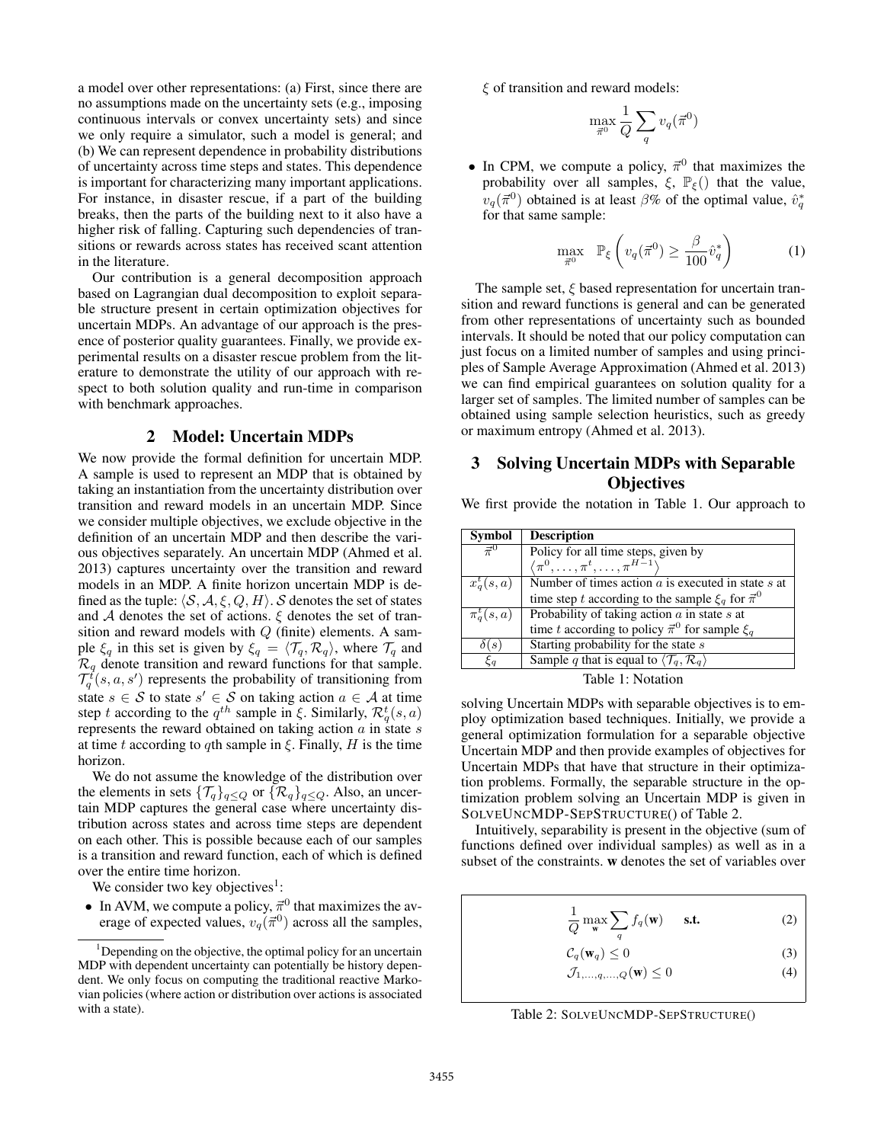a model over other representations: (a) First, since there are no assumptions made on the uncertainty sets (e.g., imposing continuous intervals or convex uncertainty sets) and since we only require a simulator, such a model is general; and (b) We can represent dependence in probability distributions of uncertainty across time steps and states. This dependence is important for characterizing many important applications. For instance, in disaster rescue, if a part of the building breaks, then the parts of the building next to it also have a higher risk of falling. Capturing such dependencies of transitions or rewards across states has received scant attention in the literature.

Our contribution is a general decomposition approach based on Lagrangian dual decomposition to exploit separable structure present in certain optimization objectives for uncertain MDPs. An advantage of our approach is the presence of posterior quality guarantees. Finally, we provide experimental results on a disaster rescue problem from the literature to demonstrate the utility of our approach with respect to both solution quality and run-time in comparison with benchmark approaches.

#### 2 Model: Uncertain MDPs

We now provide the formal definition for uncertain MDP. A sample is used to represent an MDP that is obtained by taking an instantiation from the uncertainty distribution over transition and reward models in an uncertain MDP. Since we consider multiple objectives, we exclude objective in the definition of an uncertain MDP and then describe the various objectives separately. An uncertain MDP (Ahmed et al. 2013) captures uncertainty over the transition and reward models in an MDP. A finite horizon uncertain MDP is defined as the tuple:  $\langle S, A, \xi, Q, H \rangle$ . S denotes the set of states and A denotes the set of actions.  $\xi$  denotes the set of transition and reward models with  $Q$  (finite) elements. A sample  $\xi_q$  in this set is given by  $\xi_q = \langle \mathcal{T}_q, \mathcal{R}_q \rangle$ , where  $\mathcal{T}_q$  and  $\mathcal{R}_q$  denote transition and reward functions for that sample.  $\mathcal{T}_q^t(s, a, s')$  represents the probability of transitioning from state  $s \in S$  to state  $s' \in S$  on taking action  $a \in A$  at time step t according to the  $q^{th}$  sample in ξ. Similarly,  $\mathcal{R}_q^t(s, a)$ represents the reward obtained on taking action  $a$  in state  $s$ at time t according to qth sample in  $\xi$ . Finally, H is the time horizon.

We do not assume the knowledge of the distribution over the elements in sets  $\{\mathcal{T}_q\}_{q\leq Q}$  or  $\{\mathcal{R}_q\}_{q\leq Q}$ . Also, an uncertain MDP captures the general case where uncertainty distribution across states and across time steps are dependent on each other. This is possible because each of our samples is a transition and reward function, each of which is defined over the entire time horizon.

We consider two key objectives<sup>1</sup>:

• In AVM, we compute a policy,  $\vec{\pi}^0$  that maximizes the average of expected values,  $v_q(\vec{\pi}^0)$  across all the samples,  $\xi$  of transition and reward models:

$$
\max_{\vec{\pi}^0} \frac{1}{Q} \sum_q v_q(\vec{\pi}^0)
$$

• In CPM, we compute a policy,  $\vec{\pi}^0$  that maximizes the probability over all samples,  $\xi$ ,  $\mathbb{P}_{\xi}$ () that the value,  $v_q(\vec{\pi}^0)$  obtained is at least  $\beta\%$  of the optimal value,  $\hat{v}_q^*$ for that same sample:

$$
\max_{\vec{\pi}^0} \quad \mathbb{P}_{\xi} \left( v_q(\vec{\pi}^0) \ge \frac{\beta}{100} \hat{v}_q^* \right) \tag{1}
$$

The sample set,  $\xi$  based representation for uncertain transition and reward functions is general and can be generated from other representations of uncertainty such as bounded intervals. It should be noted that our policy computation can just focus on a limited number of samples and using principles of Sample Average Approximation (Ahmed et al. 2013) we can find empirical guarantees on solution quality for a larger set of samples. The limited number of samples can be obtained using sample selection heuristics, such as greedy or maximum entropy (Ahmed et al. 2013).

## 3 Solving Uncertain MDPs with Separable **Objectives**

We first provide the notation in Table 1. Our approach to

| <b>Symbol</b>  | <b>Description</b>                                                       |
|----------------|--------------------------------------------------------------------------|
| $\vec{\pi}^0$  | Policy for all time steps, given by                                      |
|                | $\langle \pi^0, \ldots, \pi^t, \ldots, \pi^{H-1} \rangle$                |
| $x_q^t(s,a)$   | Number of times action $a$ is executed in state $s$ at                   |
|                | time step t according to the sample $\xi_q$ for $\vec{\pi}^0$            |
| $\pi^t_q(s,a)$ | Probability of taking action $a$ in state $s$ at                         |
|                | time t according to policy $\vec{\pi}^0$ for sample $\xi_a$              |
| $\delta(s)$    | Starting probability for the state s                                     |
| $\xi_a$        | Sample q that is equal to $\langle \mathcal{T}_a, \mathcal{R}_a \rangle$ |
|                |                                                                          |

Table 1: Notation

solving Uncertain MDPs with separable objectives is to employ optimization based techniques. Initially, we provide a general optimization formulation for a separable objective Uncertain MDP and then provide examples of objectives for Uncertain MDPs that have that structure in their optimization problems. Formally, the separable structure in the optimization problem solving an Uncertain MDP is given in SOLVEUNCMDP-SEPSTRUCTURE() of Table 2.

Intuitively, separability is present in the objective (sum of functions defined over individual samples) as well as in a subset of the constraints. w denotes the set of variables over

$$
\frac{1}{Q} \max_{\mathbf{w}} \sum_{\mathbf{w}} f_q(\mathbf{w}) \quad \text{s.t.} \tag{2}
$$

$$
\mathcal{C}_q(\mathbf{w}_q) \le 0 \tag{3}
$$

$$
\mathcal{J}_{1,\ldots,q,\ldots,Q}(\mathbf{w}) \le 0\tag{4}
$$

Table 2: SOLVEUNCMDP-SEPSTRUCTURE()

 $1$ Depending on the objective, the optimal policy for an uncertain MDP with dependent uncertainty can potentially be history dependent. We only focus on computing the traditional reactive Markovian policies (where action or distribution over actions is associated with a state).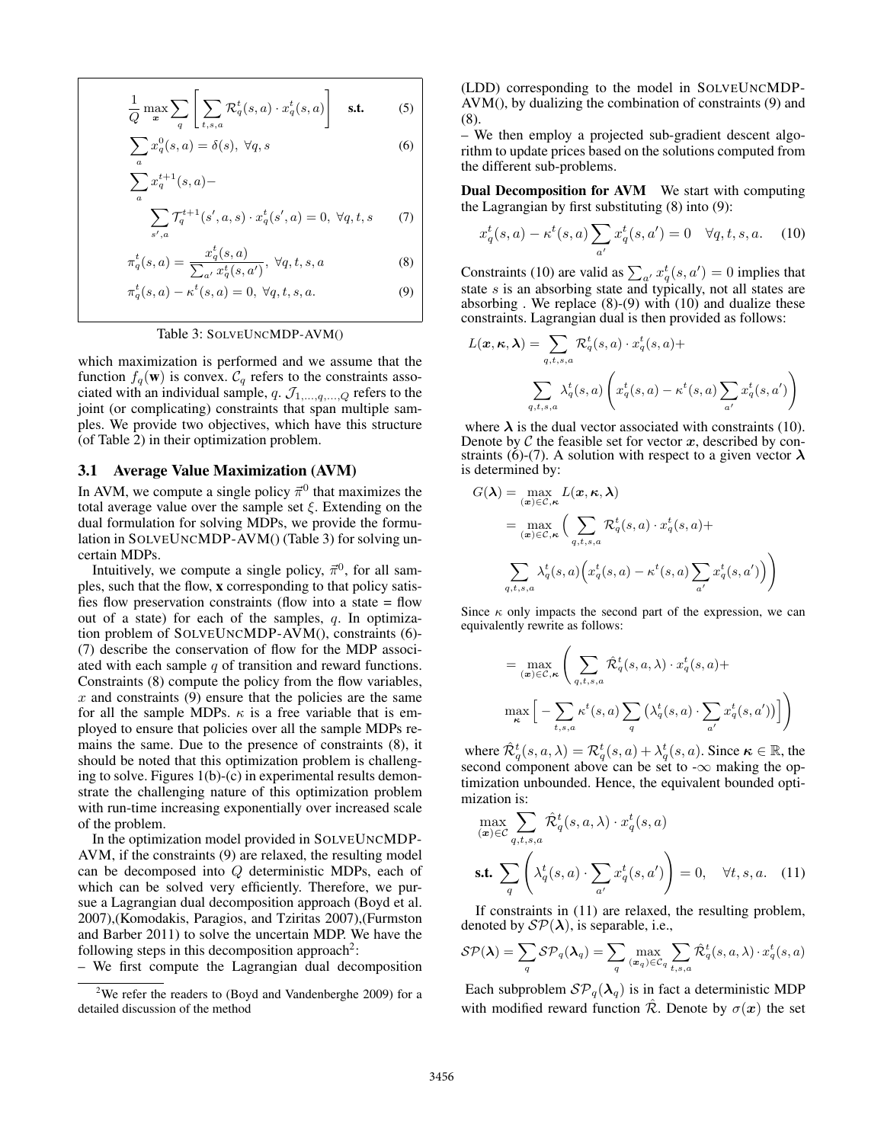$$
\frac{1}{Q} \max_{\mathbf{x}} \sum_{q} \left[ \sum_{t,s,a} \mathcal{R}_q^t(s,a) \cdot x_q^t(s,a) \right] \quad \text{s.t.} \tag{5}
$$

$$
\sum_{a} x_q^0(s, a) = \delta(s), \ \forall q, s \tag{6}
$$

$$
\sum_a x_q^{t+1}(s,a) -
$$

$$
\sum_{s',a} \mathcal{T}_q^{t+1}(s',a,s) \cdot x_q^t(s',a) = 0, \ \forall q,t,s \tag{7}
$$

$$
\pi_q^t(s, a) = \frac{x_q^t(s, a)}{\sum_{a'} x_q^t(s, a')}, \ \forall q, t, s, a \tag{8}
$$

$$
\pi_q^t(s, a) - \kappa^t(s, a) = 0, \ \forall q, t, s, a. \tag{9}
$$

#### Table 3: SOLVEUNCMDP-AVM()

which maximization is performed and we assume that the function  $f_q(\mathbf{w})$  is convex.  $\mathcal{C}_q$  refers to the constraints associated with an individual sample,  $q$ .  $\mathcal{J}_{1,...,q,...,Q}$  refers to the joint (or complicating) constraints that span multiple samples. We provide two objectives, which have this structure (of Table 2) in their optimization problem.

### 3.1 Average Value Maximization (AVM)

In AVM, we compute a single policy  $\vec{\pi}^0$  that maximizes the total average value over the sample set  $\xi$ . Extending on the dual formulation for solving MDPs, we provide the formulation in SOLVEUNCMDP-AVM() (Table 3) for solving uncertain MDPs.

Intuitively, we compute a single policy,  $\vec{\pi}^0$ , for all samples, such that the flow, x corresponding to that policy satisfies flow preservation constraints (flow into a state = flow out of a state) for each of the samples,  $q$ . In optimization problem of SOLVEUNCMDP-AVM(), constraints (6)- (7) describe the conservation of flow for the MDP associated with each sample  $q$  of transition and reward functions. Constraints (8) compute the policy from the flow variables,  $x$  and constraints (9) ensure that the policies are the same for all the sample MDPs.  $\kappa$  is a free variable that is employed to ensure that policies over all the sample MDPs remains the same. Due to the presence of constraints (8), it should be noted that this optimization problem is challenging to solve. Figures 1(b)-(c) in experimental results demonstrate the challenging nature of this optimization problem with run-time increasing exponentially over increased scale of the problem.

In the optimization model provided in SOLVEUNCMDP-AVM, if the constraints (9) are relaxed, the resulting model can be decomposed into Q deterministic MDPs, each of which can be solved very efficiently. Therefore, we pursue a Lagrangian dual decomposition approach (Boyd et al. 2007),(Komodakis, Paragios, and Tziritas 2007),(Furmston and Barber 2011) to solve the uncertain MDP. We have the following steps in this decomposition approach<sup>2</sup>:

– We first compute the Lagrangian dual decomposition

(LDD) corresponding to the model in SOLVEUNCMDP-AVM(), by dualizing the combination of constraints (9) and (8).

– We then employ a projected sub-gradient descent algorithm to update prices based on the solutions computed from the different sub-problems.

Dual Decomposition for AVM We start with computing the Lagrangian by first substituting (8) into (9):

$$
x_q^t(s, a) - \kappa^t(s, a) \sum_{a'} x_q^t(s, a') = 0 \quad \forall q, t, s, a. \quad (10)
$$

Constraints (10) are valid as  $\sum_{a'} x_q^t(s, a') = 0$  implies that state  $s$  is an absorbing state and typically, not all states are absorbing . We replace  $(8)-(9)$  with  $(10)$  and dualize these constraints. Lagrangian dual is then provided as follows:

$$
L(\mathbf{x}, \kappa, \lambda) = \sum_{q,t,s,a} \mathcal{R}_q^t(s, a) \cdot x_q^t(s, a) +
$$

$$
\sum_{q,t,s,a} \lambda_q^t(s, a) \left( x_q^t(s, a) - \kappa^t(s, a) \sum_{a'} x_q^t(s, a') \right)
$$

where  $\lambda$  is the dual vector associated with constraints (10). Denote by  $\mathcal C$  the feasible set for vector  $x$ , described by constraints (6)-(7). A solution with respect to a given vector  $\lambda$ is determined by:

$$
G(\boldsymbol{\lambda}) = \max_{(\boldsymbol{x}) \in \mathcal{C}, \kappa} L(\boldsymbol{x}, \kappa, \boldsymbol{\lambda})
$$
  
= 
$$
\max_{(\boldsymbol{x}) \in \mathcal{C}, \kappa} \Big( \sum_{q, t, s, a} \mathcal{R}_q^t(s, a) \cdot x_q^t(s, a) +
$$
  

$$
\sum_{q, t, s, a} \lambda_q^t(s, a) \Big( x_q^t(s, a) - \kappa^t(s, a) \sum_{a'} x_q^t(s, a') \Big) \Big)
$$

Since  $\kappa$  only impacts the second part of the expression, we can equivalently rewrite as follows:

$$
= \max_{(\mathbf{x}) \in \mathcal{C}, \kappa} \left( \sum_{q, t, s, a} \hat{\mathcal{R}}_q^t(s, a, \lambda) \cdot x_q^t(s, a) + \max_{\kappa} \left[ - \sum_{t, s, a} \kappa^t(s, a) \sum_q \left( \lambda_q^t(s, a) \cdot \sum_{a'} x_q^t(s, a') \right) \right] \right)
$$

where  $\hat{\mathcal{R}}_q^t(s, a, \lambda) = \mathcal{R}_q^t(s, a) + \lambda_q^t(s, a)$ . Since  $\kappa \in \mathbb{R}$ , the second component above can be set to  $-\infty$  making the optimization unbounded. Hence, the equivalent bounded optimization is:

$$
\max_{(\mathbf{x}) \in \mathcal{C}} \sum_{q,t,s,a} \hat{\mathcal{R}}_q^t(s,a,\lambda) \cdot x_q^t(s,a)
$$
\n
$$
\text{s.t. } \sum_q \left( \lambda_q^t(s,a) \cdot \sum_{a'} x_q^t(s,a') \right) = 0, \quad \forall t,s,a. \quad (11)
$$

If constraints in (11) are relaxed, the resulting problem, denoted by  $\mathcal{SP}(\lambda)$ , is separable, i.e.,

$$
\mathcal{SP}(\boldsymbol{\lambda}) = \sum_{q} \mathcal{SP}_{q}(\boldsymbol{\lambda}_{q}) = \sum_{q} \max_{(\boldsymbol{x}_{q}) \in \mathcal{C}_{q}} \sum_{t,s,a} \hat{\mathcal{R}}_{q}^{t}(s,a,\lambda) \cdot x_{q}^{t}(s,a)
$$

Each subproblem  $\mathcal{SP}_q(\lambda_q)$  is in fact a deterministic MDP with modified reward function  $\hat{\mathcal{R}}$ . Denote by  $\sigma(\mathbf{x})$  the set

<sup>2</sup>We refer the readers to (Boyd and Vandenberghe 2009) for a detailed discussion of the method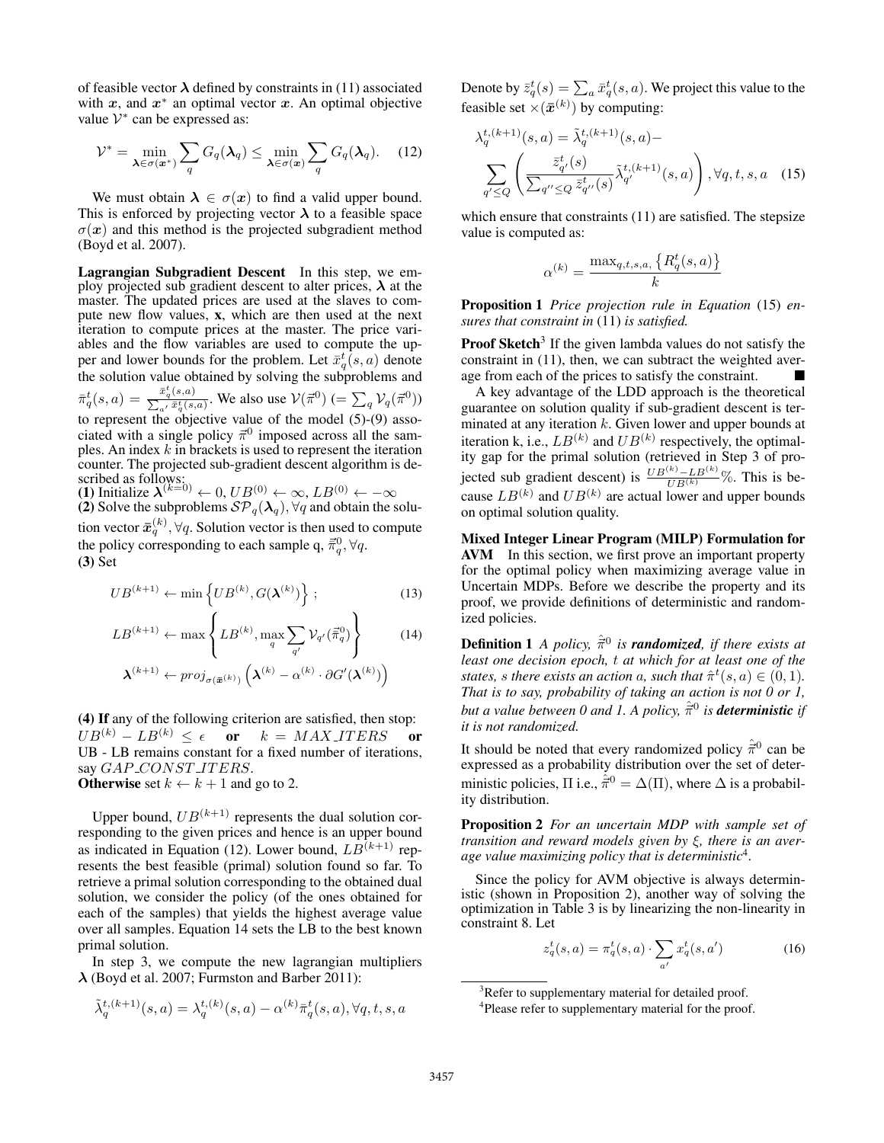of feasible vector  $\lambda$  defined by constraints in (11) associated with  $x$ , and  $x^*$  an optimal vector  $x$ . An optimal objective value  $V^*$  can be expressed as:

$$
\mathcal{V}^* = \min_{\boldsymbol{\lambda} \in \sigma(\boldsymbol{x}^*)} \sum_q G_q(\boldsymbol{\lambda}_q) \le \min_{\boldsymbol{\lambda} \in \sigma(\boldsymbol{x})} \sum_q G_q(\boldsymbol{\lambda}_q). \tag{12}
$$

We must obtain  $\lambda \in \sigma(x)$  to find a valid upper bound. This is enforced by projecting vector  $\lambda$  to a feasible space  $\sigma(x)$  and this method is the projected subgradient method (Boyd et al. 2007).

Lagrangian Subgradient Descent In this step, we employ projected sub gradient descent to alter prices,  $\lambda$  at the master. The updated prices are used at the slaves to compute new flow values, x, which are then used at the next iteration to compute prices at the master. The price variables and the flow variables are used to compute the upper and lower bounds for the problem. Let  $\bar{x}_q^t(s, a)$  denote the solution value obtained by solving the subproblems and  $\bar{\pi}_q^t(s,a) = \frac{\bar{x}_q^t(s,a)}{\sum_{s,t} \bar{x}_s^t(s,a)}$  $\frac{x_q(s,a)}{\sum_{a'} \bar{x}_q^t(s,a)}$ . We also use  $V(\vec{\pi}^0)$  (=  $\sum_q \mathcal{V}_q(\vec{\pi}^0)$ ) to represent the objective value of the model (5)-(9) associated with a single policy  $\vec{\pi}^0$  imposed across all the samples. An index  $k$  in brackets is used to represent the iteration counter. The projected sub-gradient descent algorithm is described as follows:

(1) Initialize  $\lambda^{(k=0)} \leftarrow 0$ ,  $UB^{(0)} \leftarrow \infty$ ,  $LB^{(0)} \leftarrow -\infty$ (2) Solve the subproblems  $\mathcal{SP}_q(\lambda_q)$ ,  $\forall q$  and obtain the solution vector  $\bar{x}_{q}^{(k)}, \forall q.$  Solution vector is then used to compute the policy corresponding to each sample q,  $\vec{\bar{\pi}}_q^0$ ,  $\forall q$ . (3) Set

$$
UB^{(k+1)} \leftarrow \min\left\{UB^{(k)}, G(\boldsymbol{\lambda}^{(k)})\right\};\tag{13}
$$

$$
LB^{(k+1)} \leftarrow \max\left\{LB^{(k)}, \max_{q} \sum_{q'} \mathcal{V}_{q'}(\vec{\pi}_{q}^{0})\right\} \qquad (14)
$$

$$
\boldsymbol{\lambda}^{(k+1)} \leftarrow proj_{\sigma(\vec{\boldsymbol{x}}^{(k)})} \left(\boldsymbol{\lambda}^{(k)} - \alpha^{(k)} \cdot \partial G'(\boldsymbol{\lambda}^{(k)})\right)
$$

(4) If any of the following criterion are satisfied, then stop:  $UB^{(k)} - LB^{(k)} \leq \epsilon$  or  $k = MAX\_ITERS$  or UB - LB remains constant for a fixed number of iterations, say GAP\_CONST\_ITERS.

**Otherwise** set  $k \leftarrow k + 1$  and go to 2.

Upper bound,  $UB^{(k+1)}$  represents the dual solution corresponding to the given prices and hence is an upper bound as indicated in Equation (12). Lower bound,  $LB^{(k+1)}$  represents the best feasible (primal) solution found so far. To retrieve a primal solution corresponding to the obtained dual solution, we consider the policy (of the ones obtained for each of the samples) that yields the highest average value over all samples. Equation 14 sets the LB to the best known primal solution.

In step 3, we compute the new lagrangian multipliers  $\lambda$  (Boyd et al. 2007; Furmston and Barber 2011):

$$
\tilde{\lambda}^{t, (k+1)}_q(s,a) = \lambda^{t, (k)}_q(s,a) - \alpha^{(k)} \bar{\pi}^t_q(s,a), \forall q,t,s,a
$$

Denote by  $\bar{z}_q^t(s) = \sum_a \bar{x}_q^t(s,a)$ . We project this value to the feasible set  $\times(\bar{x}^{(k)})$  by computing:

$$
\lambda_q^{t,(k+1)}(s,a) = \tilde{\lambda}_q^{t,(k+1)}(s,a) - \sum_{q' \le Q} \left( \frac{\bar{z}_{q'}^t(s)}{\sum_{q'' \le Q} \bar{z}_{q''}^t(s)} \tilde{\lambda}_{q'}^{t,(k+1)}(s,a) \right), \forall q, t, s, a \quad (15)
$$

which ensure that constraints (11) are satisfied. The stepsize value is computed as:

$$
\alpha^{(k)} = \frac{\max_{q,t,s,a,} \{R_q^t(s,a)\}}{k}
$$

Proposition 1 *Price projection rule in Equation* (15) *ensures that constraint in* (11) *is satisfied.*

Proof Sketch<sup>3</sup> If the given lambda values do not satisfy the constraint in (11), then, we can subtract the weighted average from each of the prices to satisfy the constraint.

A key advantage of the LDD approach is the theoretical guarantee on solution quality if sub-gradient descent is terminated at any iteration  $k$ . Given lower and upper bounds at iteration k, i.e.,  $LB^{(k)}$  and  $UB^{(k)}$  respectively, the optimality gap for the primal solution (retrieved in Step 3 of projected sub gradient descent) is  $\frac{UB^{(k)} - LB^{(k)}}{UB^{(k)}}\%$ . This is because  $LB^{(k)}$  and  $UB^{(k)}$  are actual lower and upper bounds on optimal solution quality.

Mixed Integer Linear Program (MILP) Formulation for AVM In this section, we first prove an important property for the optimal policy when maximizing average value in Uncertain MDPs. Before we describe the property and its proof, we provide definitions of deterministic and randomized policies.

**Definition 1** A policy,  $\hat{\vec{\pi}}^0$  is **randomized**, if there exists at *least one decision epoch,* t *at which for at least one of the states, s there exists an action a, such that*  $\hat{\pi}^t(s, a) \in (0, 1)$ *. That is to say, probability of taking an action is not 0 or 1, but a value between 0 and 1. A policy,*  $\hat{\vec{\pi}}^0$  *is deterministic if it is not randomized.*

It should be noted that every randomized policy  $\hat{\vec{\pi}}^0$  can be expressed as a probability distribution over the set of deterministic policies,  $\Pi$  i.e.,  $\hat{\vec{\pi}}^0 = \Delta(\Pi)$ , where  $\Delta$  is a probability distribution.

Proposition 2 *For an uncertain MDP with sample set of transition and reward models given by* ξ*, there is an average value maximizing policy that is deterministic*<sup>4</sup> *.*

Since the policy for AVM objective is always deterministic (shown in Proposition 2), another way of solving the optimization in Table 3 is by linearizing the non-linearity in constraint 8. Let

$$
z_q^t(s, a) = \pi_q^t(s, a) \cdot \sum_{a'} x_q^t(s, a')
$$
 (16)

<sup>&</sup>lt;sup>3</sup>Refer to supplementary material for detailed proof.

<sup>&</sup>lt;sup>4</sup>Please refer to supplementary material for the proof.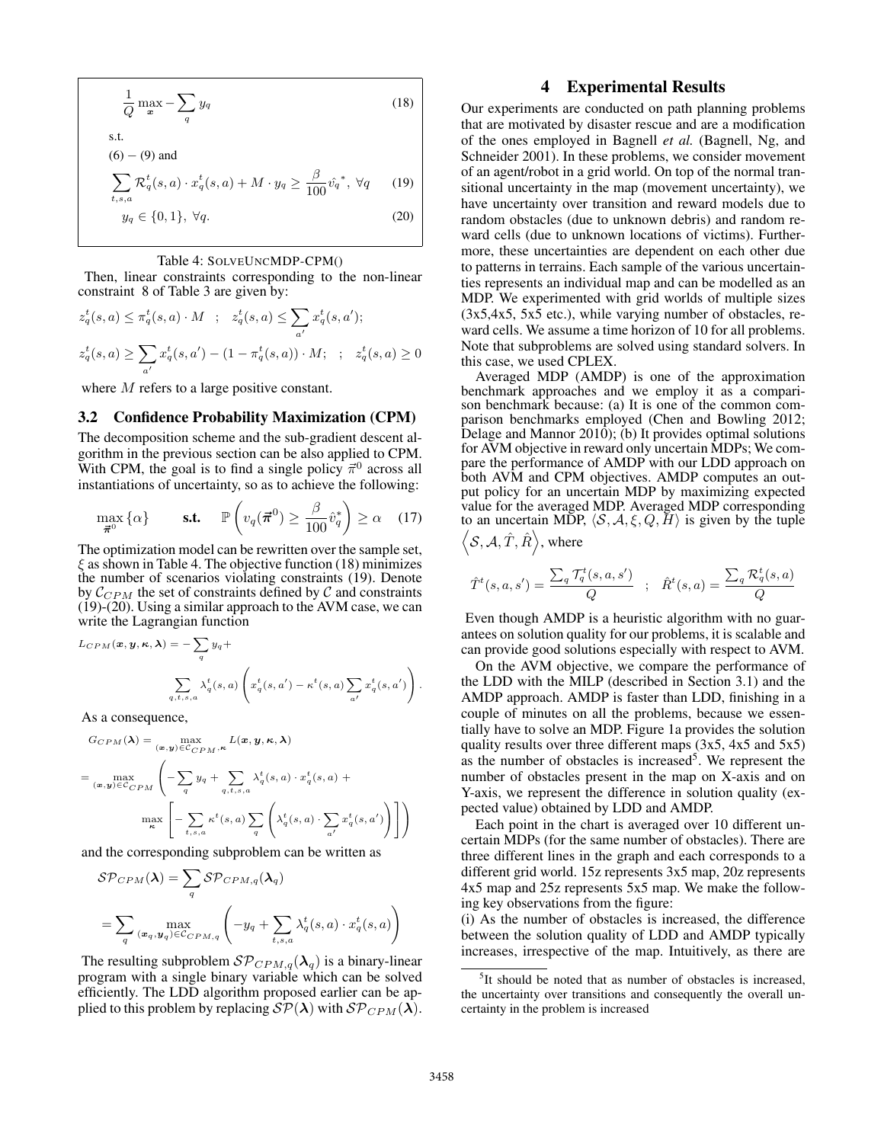$$
\frac{1}{Q} \max_{\bm{x}} - \sum_{q} y_q \tag{18}
$$

s.t.  $(6) - (9)$  and

$$
\sum_{t,s,a} \mathcal{R}_q^t(s,a) \cdot x_q^t(s,a) + M \cdot y_q \ge \frac{\beta}{100} \hat{v_q}^*, \ \forall q \qquad (19)
$$

$$
y_q \in \{0, 1\}, \ \forall q. \tag{20}
$$

#### Table 4: SOLVEUNCMDP-CPM()

Then, linear constraints corresponding to the non-linear constraint 8 of Table 3 are given by:

$$
z_q^t(s, a) \le \pi_q^t(s, a) \cdot M \quad ; \quad z_q^t(s, a) \le \sum_{a'} x_q^t(s, a');
$$
  

$$
z_q^t(s, a) \ge \sum_{a'} x_q^t(s, a') - (1 - \pi_q^t(s, a)) \cdot M; \quad ; \quad z_q^t(s, a) \ge 0
$$

where M refers to a large positive constant.

## 3.2 Confidence Probability Maximization (CPM)

The decomposition scheme and the sub-gradient descent algorithm in the previous section can be also applied to CPM. With CPM, the goal is to find a single policy  $\vec{\pi}^0$  across all instantiations of uncertainty, so as to achieve the following:

$$
\max_{\vec{\boldsymbol{\pi}}^0} \{\alpha\} \qquad \text{s.t.} \quad \mathbb{P}\left(v_q(\vec{\boldsymbol{\pi}}^0) \ge \frac{\beta}{100} \hat{v}_q^*\right) \ge \alpha \quad (17)
$$

The optimization model can be rewritten over the sample set,  $\xi$  as shown in Table 4. The objective function (18) minimizes the number of scenarios violating constraints (19). Denote by  $C_{CPM}$  the set of constraints defined by C and constraints (19)-(20). Using a similar approach to the AVM case, we can write the Lagrangian function

$$
L_{CPM}(\boldsymbol{x}, \boldsymbol{y}, \boldsymbol{\kappa}, \boldsymbol{\lambda}) = -\sum_{q} y_q +
$$
  

$$
\sum_{q, t, s, a} \lambda_q^t(s, a) \left( x_q^t(s, a') - \kappa^t(s, a) \sum_{a'} x_q^t(s, a') \right).
$$

As a consequence,

$$
G_{CPM}(\lambda) = \max_{(\mathbf{x}, \mathbf{y}) \in C_{CPM}, \kappa} L(\mathbf{x}, \mathbf{y}, \kappa, \lambda)
$$
  
= 
$$
\max_{(\mathbf{x}, \mathbf{y}) \in C_{CPM}} \left( -\sum_{q} y_q + \sum_{q, t, s, a} \lambda_q^t(s, a) \cdot x_q^t(s, a) + \max_{\kappa} \left[ -\sum_{t, s, a} \kappa^t(s, a) \sum_{q} \left( \lambda_q^t(s, a) \cdot \sum_{a'} x_q^t(s, a') \right) \right] \right)
$$

and the corresponding subproblem can be written as

$$
SP_{CPM}(\lambda) = \sum_{q} SP_{CPM,q}(\lambda_q)
$$
  
= 
$$
\sum_{q} \max_{(\mathbf{x}_q, \mathbf{y}_q) \in C_{CPM,q}} \left( -y_q + \sum_{t,s,a} \lambda_q^t(s,a) \cdot x_q^t(s,a) \right)
$$

The resulting subproblem  $\mathcal{SP}_{CPM,q}(\lambda_q)$  is a binary-linear program with a single binary variable which can be solved efficiently. The LDD algorithm proposed earlier can be applied to this problem by replacing  $\mathcal{SP}(\lambda)$  with  $\mathcal{SP}_{CPM}(\lambda)$ .

## 4 Experimental Results

Our experiments are conducted on path planning problems that are motivated by disaster rescue and are a modification of the ones employed in Bagnell *et al.* (Bagnell, Ng, and Schneider 2001). In these problems, we consider movement of an agent/robot in a grid world. On top of the normal transitional uncertainty in the map (movement uncertainty), we have uncertainty over transition and reward models due to random obstacles (due to unknown debris) and random reward cells (due to unknown locations of victims). Furthermore, these uncertainties are dependent on each other due to patterns in terrains. Each sample of the various uncertainties represents an individual map and can be modelled as an MDP. We experimented with grid worlds of multiple sizes (3x5,4x5, 5x5 etc.), while varying number of obstacles, reward cells. We assume a time horizon of 10 for all problems. Note that subproblems are solved using standard solvers. In this case, we used CPLEX.

Averaged MDP (AMDP) is one of the approximation benchmark approaches and we employ it as a comparison benchmark because: (a) It is one of the common comparison benchmarks employed (Chen and Bowling 2012; Delage and Mannor 2010); (b) It provides optimal solutions for AVM objective in reward only uncertain MDPs; We compare the performance of AMDP with our LDD approach on both AVM and CPM objectives. AMDP computes an output policy for an uncertain MDP by maximizing expected value for the averaged MDP. Averaged MDP corresponding to an uncertain MDP,  $\langle S, A, \xi, Q, H \rangle$  is given by the tuple  $\langle \mathcal{S}, \mathcal{A}, \hat{T}, \hat{R} \rangle$ , where

$$
\hat{T}^t(s, a, s') = \frac{\sum_q \mathcal{T}_q^t(s, a, s')}{Q} ; \quad \hat{R}^t(s, a) = \frac{\sum_q \mathcal{R}_q^t(s, a)}{Q}
$$

Even though AMDP is a heuristic algorithm with no guarantees on solution quality for our problems, it is scalable and can provide good solutions especially with respect to AVM.

On the AVM objective, we compare the performance of the LDD with the MILP (described in Section 3.1) and the AMDP approach. AMDP is faster than LDD, finishing in a couple of minutes on all the problems, because we essentially have to solve an MDP. Figure 1a provides the solution quality results over three different maps (3x5, 4x5 and 5x5) as the number of obstacles is increased<sup>5</sup>. We represent the number of obstacles present in the map on X-axis and on Y-axis, we represent the difference in solution quality (expected value) obtained by LDD and AMDP.

Each point in the chart is averaged over 10 different uncertain MDPs (for the same number of obstacles). There are three different lines in the graph and each corresponds to a different grid world. 15z represents 3x5 map, 20z represents 4x5 map and 25z represents 5x5 map. We make the following key observations from the figure:

(i) As the number of obstacles is increased, the difference between the solution quality of LDD and AMDP typically increases, irrespective of the map. Intuitively, as there are

<sup>&</sup>lt;sup>5</sup>It should be noted that as number of obstacles is increased, the uncertainty over transitions and consequently the overall uncertainty in the problem is increased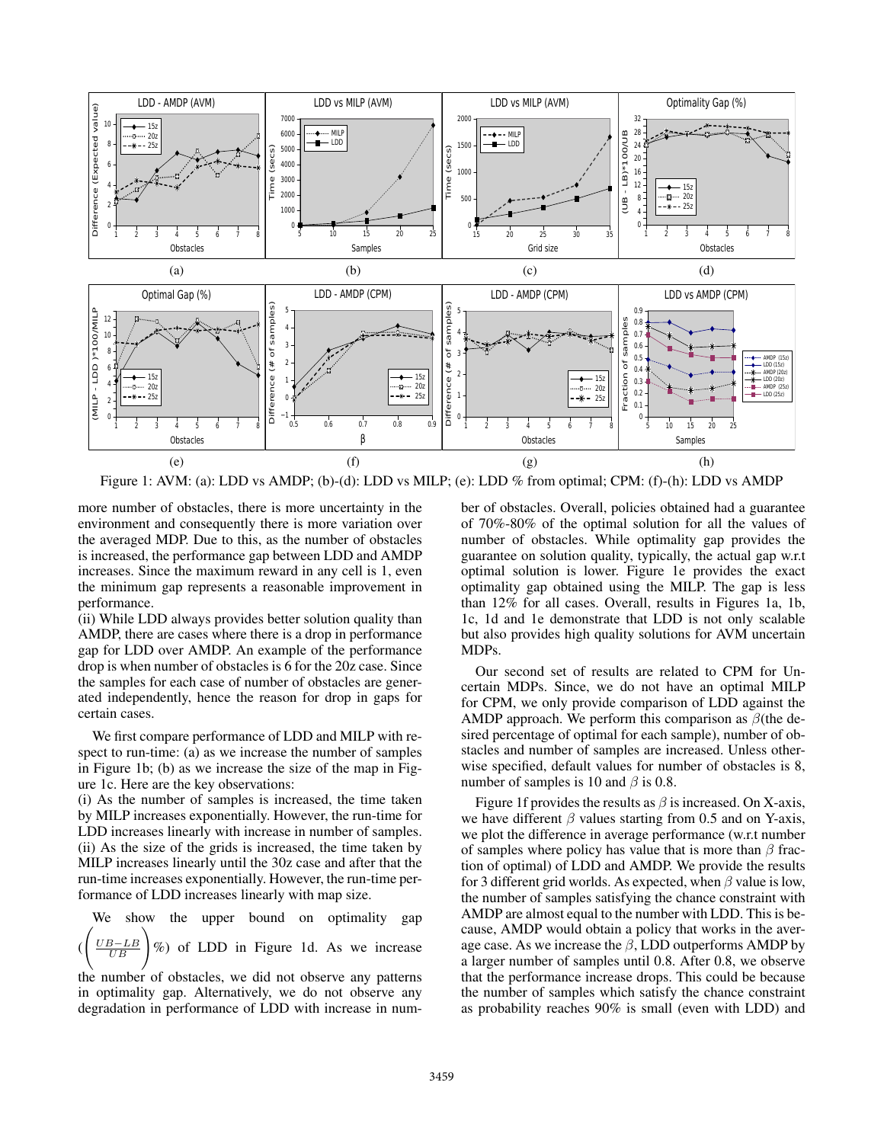

Figure 1: AVM: (a): LDD vs AMDP; (b)-(d): LDD vs MILP; (e): LDD % from optimal; CPM: (f)-(h): LDD vs AMDP

more number of obstacles, there is more uncertainty in the environment and consequently there is more variation over the averaged MDP. Due to this, as the number of obstacles is increased, the performance gap between LDD and AMDP increases. Since the maximum reward in any cell is 1, even the minimum gap represents a reasonable improvement in performance.

(ii) While LDD always provides better solution quality than AMDP, there are cases where there is a drop in performance gap for LDD over AMDP. An example of the performance drop is when number of obstacles is 6 for the 20z case. Since the samples for each case of number of obstacles are generated independently, hence the reason for drop in gaps for certain cases.

We first compare performance of LDD and MILP with respect to run-time: (a) as we increase the number of samples in Figure 1b; (b) as we increase the size of the map in Figure 1c. Here are the key observations:

(i) As the number of samples is increased, the time taken by MILP increases exponentially. However, the run-time for LDD increases linearly with increase in number of samples. (ii) As the size of the grids is increased, the time taken by MILP increases linearly until the 30z case and after that the run-time increases exponentially. However, the run-time performance of LDD increases linearly with map size.

We show the upper bound on optimality gap (  $\sqrt{ }$ UB−LB  $rac{B-LB}{UB}$ of LDD in Figure 1d. As we increase

the number of obstacles, we did not observe any patterns in optimality gap. Alternatively, we do not observe any degradation in performance of LDD with increase in number of obstacles. Overall, policies obtained had a guarantee of 70%-80% of the optimal solution for all the values of number of obstacles. While optimality gap provides the guarantee on solution quality, typically, the actual gap w.r.t optimal solution is lower. Figure 1e provides the exact optimality gap obtained using the MILP. The gap is less than 12% for all cases. Overall, results in Figures 1a, 1b, 1c, 1d and 1e demonstrate that LDD is not only scalable but also provides high quality solutions for AVM uncertain MDPs.

Our second set of results are related to CPM for Uncertain MDPs. Since, we do not have an optimal MILP for CPM, we only provide comparison of LDD against the AMDP approach. We perform this comparison as  $\beta$ (the desired percentage of optimal for each sample), number of obstacles and number of samples are increased. Unless otherwise specified, default values for number of obstacles is 8, number of samples is 10 and  $\beta$  is 0.8.

Figure 1f provides the results as  $\beta$  is increased. On X-axis, we have different  $\beta$  values starting from 0.5 and on Y-axis, we plot the difference in average performance (w.r.t number of samples where policy has value that is more than  $\beta$  fraction of optimal) of LDD and AMDP. We provide the results for 3 different grid worlds. As expected, when  $\beta$  value is low, the number of samples satisfying the chance constraint with AMDP are almost equal to the number with LDD. This is because, AMDP would obtain a policy that works in the average case. As we increase the  $\beta$ , LDD outperforms AMDP by a larger number of samples until 0.8. After 0.8, we observe that the performance increase drops. This could be because the number of samples which satisfy the chance constraint as probability reaches 90% is small (even with LDD) and